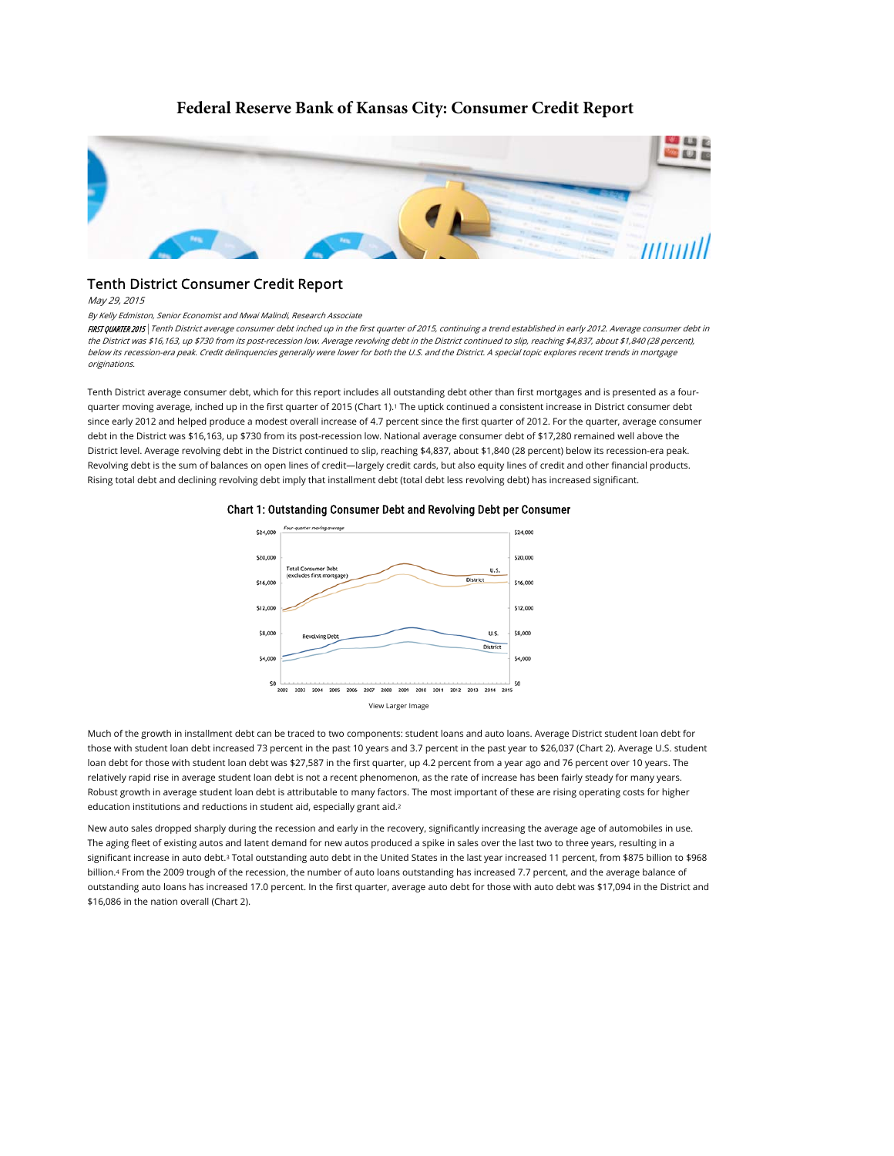# **Federal Reserve Bank of Kansas City: Consumer Credit Report**



# Tenth District Consumer Credit Report

May 29, 2015

#### By Kelly Edmiston, Senior Economist and Mwai Malindi, Research Associate

FIRST QUARTER 2015 Tenth District average consumer debt inched up in the first quarter of 2015, continuing a trend established in early 2012. Average consumer debt in the District was \$16,163, up \$730 from its post-recession low. Average revolving debt in the District continued to slip, reaching \$4,837, about \$1,840 (28 percent), below its recession-era peak. Credit delinquencies generally were lower for both the U.S. and the District. A special topic explores recent trends in mortgage originations.

Tenth District average consumer debt, which for this report includes all outstanding debt other than first mortgages and is presented as a fourquarter moving average, inched up in the first quarter of 2015 (Chart 1).' The uptick continued a consistent increase in District consumer debt since early 2012 and helped produce a modest overall increase of 4.7 percent since the first quarter of 2012. For the quarter, average consumer debt in the District was \$16,163, up \$730 from its post-recession low. National average consumer debt of \$17,280 remained well above the District level. Average revolving debt in the District continued to slip, reaching \$4,837, about \$1,840 (28 percent) below its recession-era peak. Revolving debt is the sum of balances on open lines of credit—largely credit cards, but also equity lines of credit and other financial products. Rising total debt and declining revolving debt imply that installment debt (total debt less revolving debt) has increased significant.



#### Chart 1: Outstanding Consumer Debt and Revolving Debt per Consumer

Much of the growth in installment debt can be traced to two components: student loans and auto loans. Average District student loan debt for those with student loan debt increased 73 percent in the past 10 years and 3.7 percent in the past year to \$26,037 (Chart 2). Average U.S. student loan debt for those with student loan debt was \$27,587 in the first quarter, up 4.2 percent from a year ago and 76 percent over 10 years. The relatively rapid rise in average student loan debt is not a recent phenomenon, as the rate of increase has been fairly steady for many years. Robust growth in average student loan debt is attributable to many factors. The most important of these are rising operating costs for higher education institutions and reductions in student aid, especially grant aid. 2

New auto sales dropped sharply during the recession and early in the recovery, significantly increasing the average age of automobiles in use. The aging fleet of existing autos and latent demand for new autos produced a spike in sales over the last two to three years, resulting in a significant increase in auto debt.3 Total outstanding auto debt in the United States in the last year increased 11 percent, from \$875 billion to \$968 billion.4 From the 2009 trough of the recession, the number of auto loans outstanding has increased 7.7 percent, and the average balance of outstanding auto loans has increased 17.0 percent. In the first quarter, average auto debt for those with auto debt was \$17,094 in the District and \$16,086 in the nation overall (Chart 2).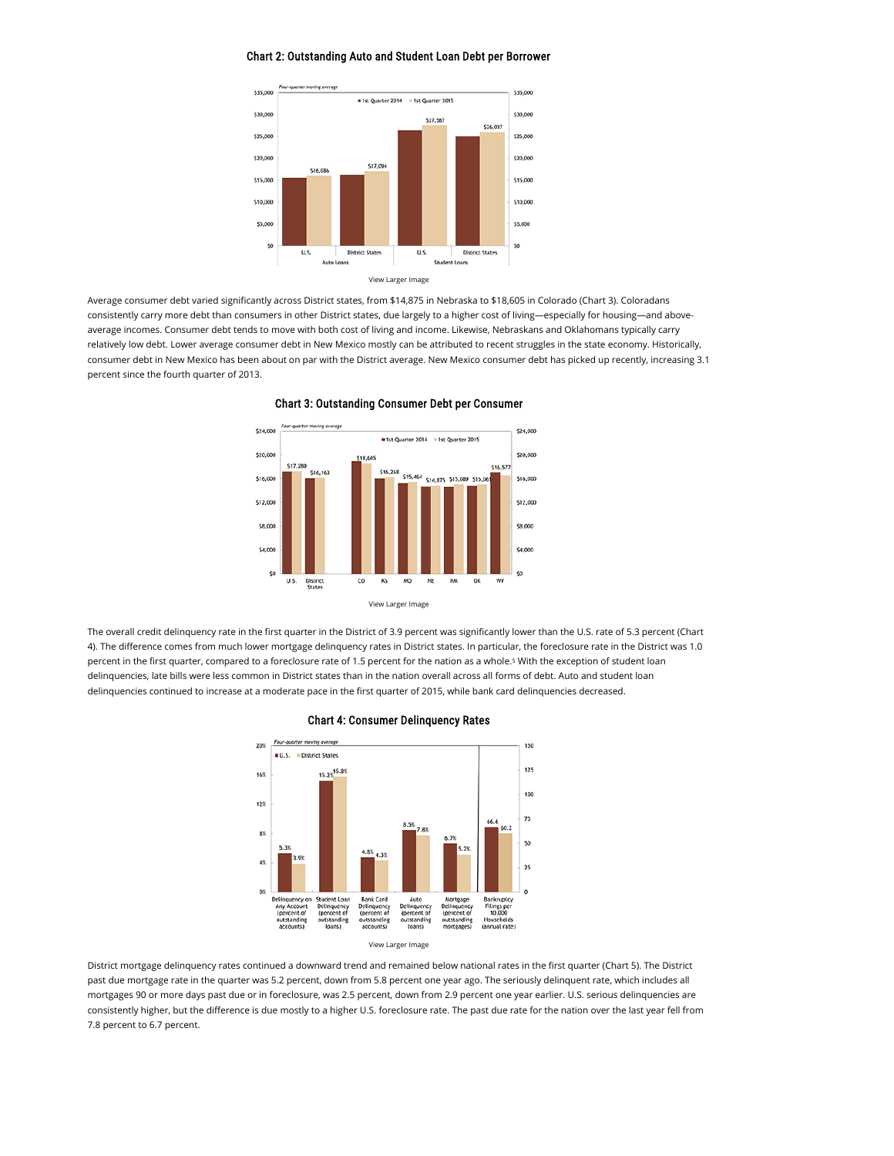### Chart 2: Outstanding Auto and Student Loan Debt per Borrower



Average consumer debt varied significantly across District states, from \$14,875 in Nebraska to \$18,605 in Colorado (Chart 3). Coloradans consistently carry more debt than consumers in other District states, due largely to a higher cost of living—especially for housing—and aboveaverage incomes. Consumer debt tends to move with both cost of living and income. Likewise, Nebraskans and Oklahomans typically carry relatively low debt. Lower average consumer debt in New Mexico mostly can be attributed to recent struggles in the state economy. Historically, consumer debt in New Mexico has been about on par with the District average. New Mexico consumer debt has picked up recently, increasing 3.1 percent since the fourth quarter of 2013.



Chart 3: Outstanding Consumer Debt per Consumer

The overall credit delinquency rate in the first quarter in the District of 3.9 percent was significantly lower than the U.S. rate of 5.3 percent (Chart 4). The difference comes from much lower mortgage delinquency rates in District states. In particular, the foreclosure rate in the District was 1.0 percent in the first quarter, compared to a foreclosure rate of 1.5 percent for the nation as a whole.<sup>5</sup> With the exception of student loan delinquencies, late bills were less common in District states than in the nation overall across all forms of debt. Auto and student loan delinquencies continued to increase at a moderate pace in the first quarter of 2015, while bank card delinquencies decreased.





District mortgage delinquency rates continued a downward trend and remained below national rates in the first quarter (Chart 5). The District past due mortgage rate in the quarter was 5.2 percent, down from 5.8 percent one year ago. The seriously delinquent rate, which includes all mortgages 90 or more days past due or in foreclosure, was 2.5 percent, down from 2.9 percent one year earlier. U.S. serious delinquencies are consistently higher, but the difference is due mostly to a higher U.S. foreclosure rate. The past due rate for the nation over the last year fell from 7.8 percent to 6.7 percent.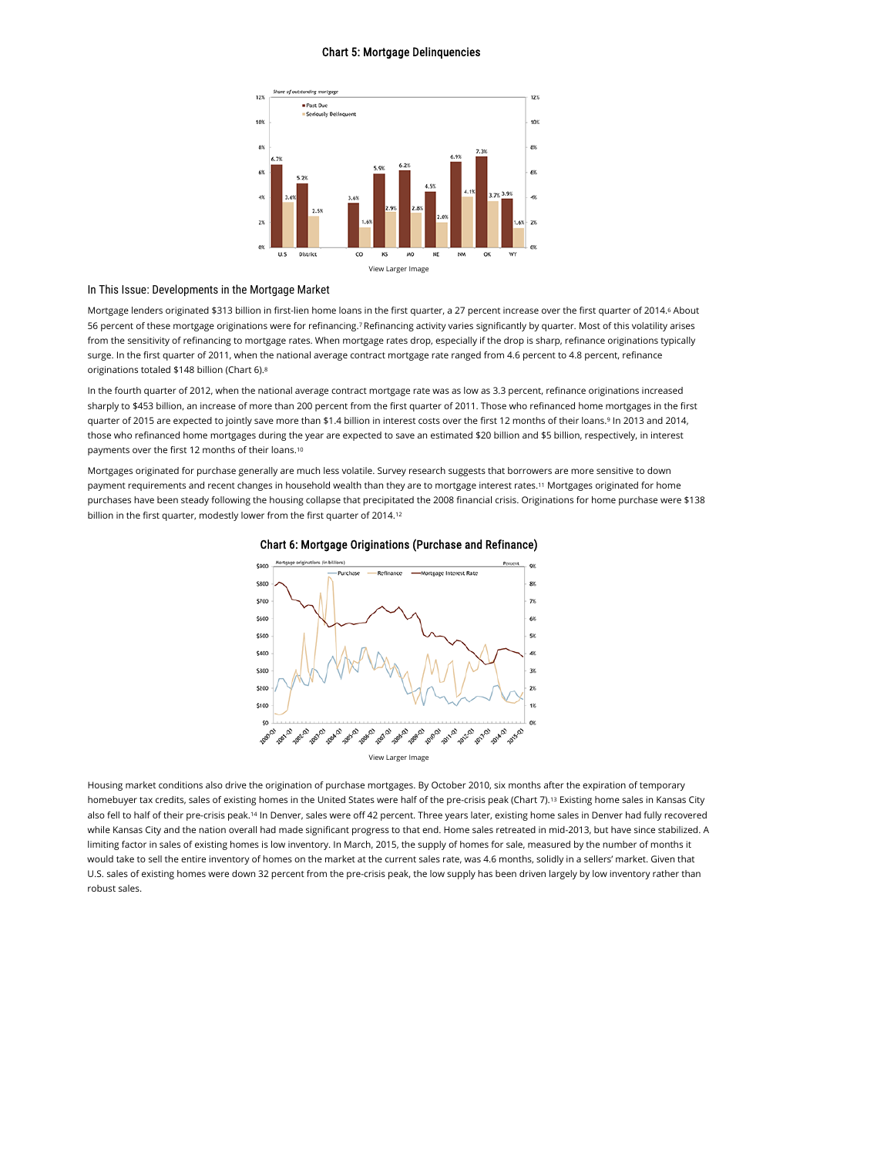#### Chart 5: Mortgage Delinquencies



## In This Issue: Developments in the Mortgage Market

Mortgage lenders originated \$313 billion in first-lien home loans in the first quarter, a 27 percent increase over the first quarter of 2014.6 About 56 percent of these mortgage originations were for refinancing. Refinancing activity varies significantly by quarter. Most of this volatility arises 7 from the sensitivity of refinancing to mortgage rates. When mortgage rates drop, especially if the drop is sharp, refinance originations typically surge. In the first quarter of 2011, when the national average contract mortgage rate ranged from 4.6 percent to 4.8 percent, refinance originations totaled \$148 billion (Chart 6). 8

In the fourth quarter of 2012, when the national average contract mortgage rate was as low as 3.3 percent, refinance originations increased sharply to \$453 billion, an increase of more than 200 percent from the first quarter of 2011. Those who refinanced home mortgages in the first guarter of 2015 are expected to jointly save more than \$1.4 billion in interest costs over the first 12 months of their loans.<sup>9</sup> In 2013 and 2014, those who refinanced home mortgages during the year are expected to save an estimated \$20 billion and \$5 billion, respectively, in interest payments over the first 12 months of their loans. 10

Mortgages originated for purchase generally are much less volatile. Survey research suggests that borrowers are more sensitive to down payment requirements and recent changes in household wealth than they are to mortgage interest rates.<sup>11</sup> Mortgages originated for home purchases have been steady following the housing collapse that precipitated the 2008 financial crisis. Originations for home purchase were \$138 billion in the first quarter, modestly lower from the first quarter of 2014. 12





Housing market conditions also drive the origination of purchase mortgages. By October 2010, six months after the expiration of temporary homebuyer tax credits, sales of existing homes in the United States were half of the pre-crisis peak (Chart 7).13 Existing home sales in Kansas City also fell to half of their pre-crisis peak.14 In Denver, sales were off 42 percent. Three years later, existing home sales in Denver had fully recovered while Kansas City and the nation overall had made significant progress to that end. Home sales retreated in mid-2013, but have since stabilized. A limiting factor in sales of existing homes is low inventory. In March, 2015, the supply of homes for sale, measured by the number of months it would take to sell the entire inventory of homes on the market at the current sales rate, was 4.6 months, solidly in a sellers' market. Given that U.S. sales of existing homes were down 32 percent from the pre-crisis peak, the low supply has been driven largely by low inventory rather than robust sales.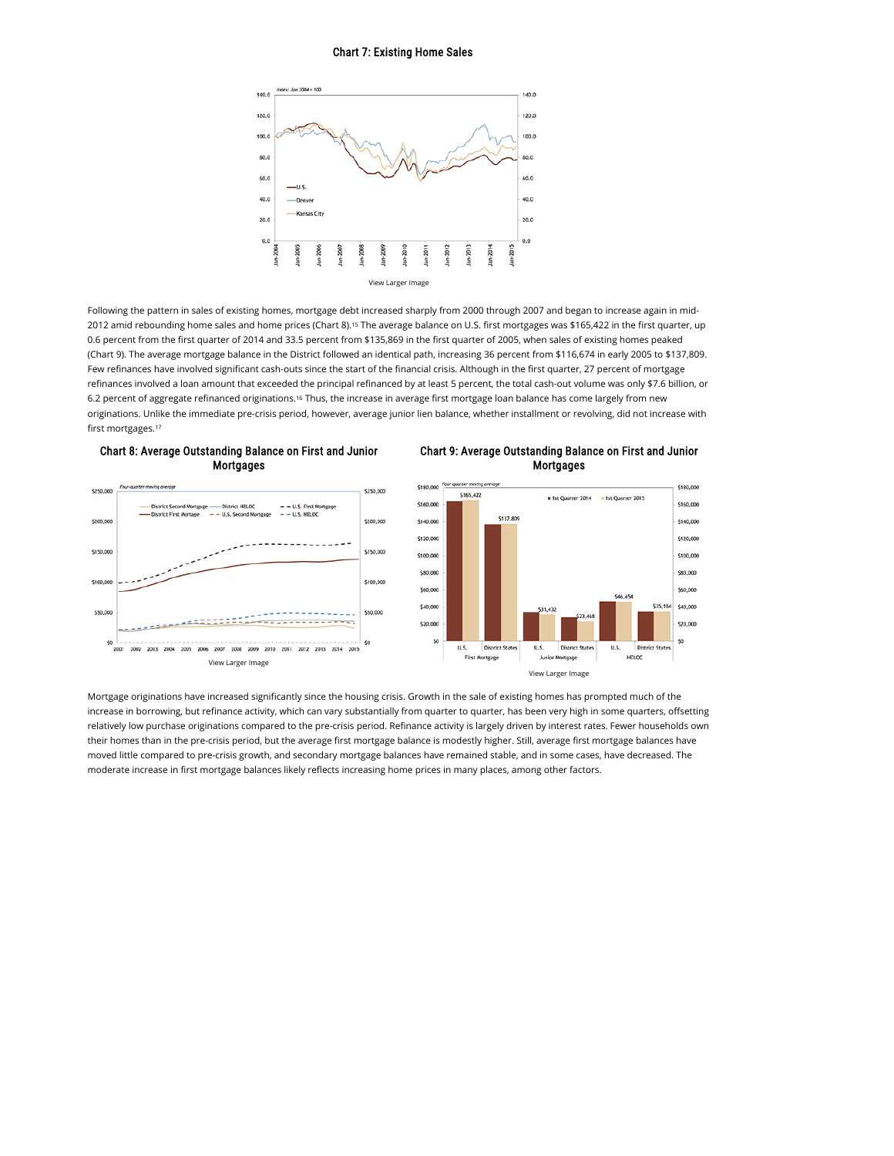#### Chart 7: Existing Home Sales



Following the pattern in sales of existing homes, mortgage debt increased sharply from 2000 through 2007 and began to increase again in mid-2012 amid rebounding home sales and home prices (Chart 8).15 The average balance on U.S. first mortgages was \$165,422 in the first quarter, up 0.6 percent from the first quarter of 2014 and 33.5 percent from \$135,869 in the first quarter of 2005, when sales of existing homes peaked (Chart 9). The average mortgage balance in the District followed an identical path, increasing 36 percent from \$116,674 in early 2005 to \$137,809. Few refinances have involved significant cash-outs since the start of the financial crisis. Although in the first quarter, 27 percent of mortgage refinances involved a loan amount that exceeded the principal refinanced by at least 5 percent, the total cash-out volume was only \$7.6 billion, or 6.2 percent of aggregate refinanced originations.<sup>16</sup> Thus, the increase in average first mortgage loan balance has come largely from new originations. Unlike the immediate pre-crisis period, however, average junior lien balance, whether installment or revolving, did not increase with first mortgages. 17





Chart 9: Average Outstanding Balance on First and Junior Mortgages



Mortgage originations have increased significantly since the housing crisis. Growth in the sale of existing homes has prompted much of the increase in borrowing, but refinance activity, which can vary substantially from quarter to quarter, has been very high in some quarters, offsetting relatively low purchase originations compared to the pre-crisis period. Refinance activity is largely driven by interest rates. Fewer households own their homes than in the pre-crisis period, but the average first mortgage balance is modestly higher. Still, average first mortgage balances have moved little compared to pre-crisis growth, and secondary mortgage balances have remained stable, and in some cases, have decreased. The moderate increase in first mortgage balances likely reflects increasing home prices in many places, among other factors.